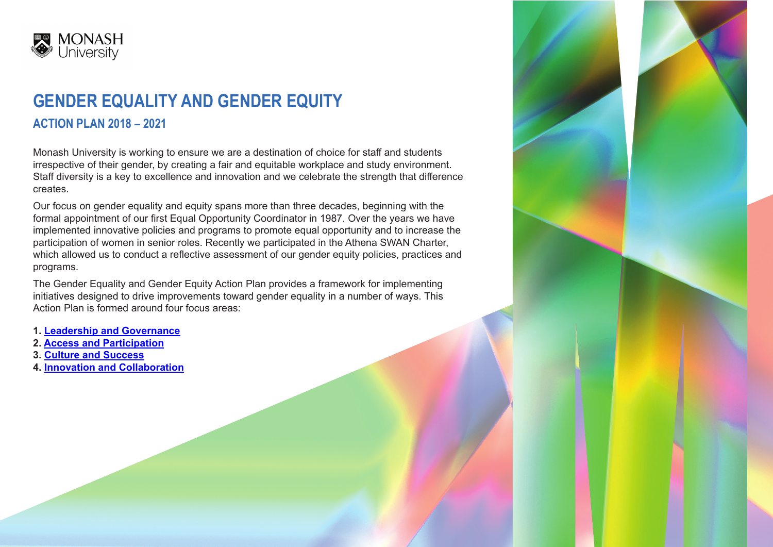

# **GENDER EQUALITY AND GENDER EQUITY**

## **ACTION PLAN 2018 – 2021**

Monash University is working to ensure we are a destination of choice for staff and students irrespective of their gender, by creating a fair and equitable workplace and study environment. Staff diversity is a key to excellence and innovation and we celebrate the strength that difference creates.

Our focus on gender equality and equity spans more than three decades, beginning with the formal appointment of our first Equal Opportunity Coordinator in 1987. Over the years we have implemented innovative policies and programs to promote equal opportunity and to increase the participation of women in senior roles. Recently we participated in the Athena SWAN Charter, which allowed us to conduct a reflective assessment of our gender equity policies, practices and programs.

The Gender Equality and Gender Equity Action Plan provides a framework for implementing initiatives designed to drive improvements toward gender equality in a number of ways. This Action Plan is formed around four focus areas:

- **1. [Leadership and Governance](#page-1-0)**
- **2. [Access and Participation](#page-2-0)**
- **3. [Culture and Success](#page-3-0)**
- **4. [Innovation and Collaboration](#page-5-0)**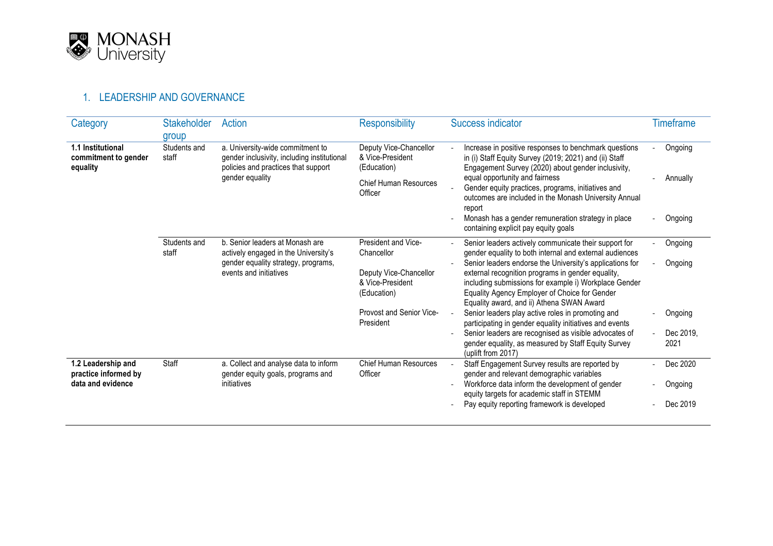<span id="page-1-0"></span>

### 1. LEADERSHIP AND GOVERNANCE

| Category                                              | <b>Stakeholder</b><br>group                                                                                                                                        | Action                                                                     | <b>Responsibility</b>                                                                                                                                                                                                                                                | Success indicator                                                                                                                                                     |         | <b>Timeframe</b>  |
|-------------------------------------------------------|--------------------------------------------------------------------------------------------------------------------------------------------------------------------|----------------------------------------------------------------------------|----------------------------------------------------------------------------------------------------------------------------------------------------------------------------------------------------------------------------------------------------------------------|-----------------------------------------------------------------------------------------------------------------------------------------------------------------------|---------|-------------------|
| 1.1 Institutional<br>commitment to gender<br>equality | a. University-wide commitment to<br>Students and<br>staff<br>gender inclusivity, including institutional<br>policies and practices that support<br>gender equality |                                                                            | Deputy Vice-Chancellor<br>& Vice-President<br>(Education)                                                                                                                                                                                                            | Increase in positive responses to benchmark questions<br>in (i) Staff Equity Survey (2019; 2021) and (ii) Staff<br>Engagement Survey (2020) about gender inclusivity, |         | Ongoing           |
|                                                       |                                                                                                                                                                    |                                                                            | <b>Chief Human Resources</b><br>Officer                                                                                                                                                                                                                              | equal opportunity and fairness<br>Gender equity practices, programs, initiatives and<br>outcomes are included in the Monash University Annual<br>report               |         | Annually          |
|                                                       |                                                                                                                                                                    |                                                                            |                                                                                                                                                                                                                                                                      | Monash has a gender remuneration strategy in place<br>containing explicit pay equity goals                                                                            |         | Ongoing           |
|                                                       | Students and<br>staff                                                                                                                                              | b. Senior leaders at Monash are<br>actively engaged in the University's    | President and Vice-<br>Chancellor                                                                                                                                                                                                                                    | Senior leaders actively communicate their support for<br>gender equality to both internal and external audiences                                                      |         | Ongoing           |
|                                                       | gender equality strategy, programs,<br>events and initiatives                                                                                                      | Deputy Vice-Chancellor<br>& Vice-President<br>(Education)                  | Senior leaders endorse the University's applications for<br>external recognition programs in gender equality,<br>including submissions for example i) Workplace Gender<br>Equality Agency Employer of Choice for Gender<br>Equality award, and ii) Athena SWAN Award |                                                                                                                                                                       | Ongoing |                   |
|                                                       |                                                                                                                                                                    |                                                                            | Provost and Senior Vice-<br>President                                                                                                                                                                                                                                | Senior leaders play active roles in promoting and<br>participating in gender equality initiatives and events                                                          |         | Ongoing           |
|                                                       |                                                                                                                                                                    |                                                                            |                                                                                                                                                                                                                                                                      | Senior leaders are recognised as visible advocates of<br>gender equality, as measured by Staff Equity Survey<br>(uplift from 2017)                                    | $\sim$  | Dec 2019,<br>2021 |
| 1.2 Leadership and<br>practice informed by            | Staff                                                                                                                                                              | a. Collect and analyse data to inform<br>gender equity goals, programs and | <b>Chief Human Resources</b><br>Officer                                                                                                                                                                                                                              | Staff Engagement Survey results are reported by<br>gender and relevant demographic variables                                                                          |         | Dec 2020          |
| data and evidence                                     |                                                                                                                                                                    | initiatives                                                                |                                                                                                                                                                                                                                                                      | Workforce data inform the development of gender<br>equity targets for academic staff in STEMM                                                                         |         | Ongoing           |
|                                                       |                                                                                                                                                                    |                                                                            |                                                                                                                                                                                                                                                                      | Pay equity reporting framework is developed                                                                                                                           |         | Dec 2019          |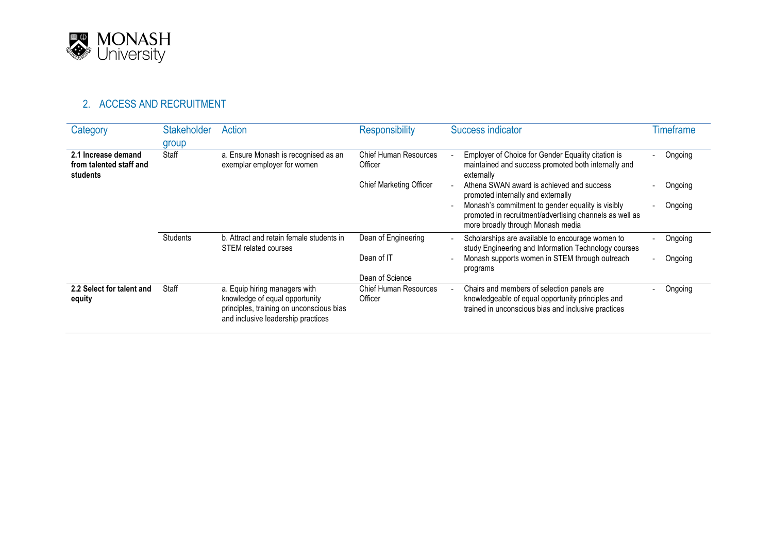<span id="page-2-0"></span>

#### 2. ACCESS AND RECRUITMENT

| Category                                                   | Stakeholder<br>group | <b>Action</b>                                                                                                                                     | <b>Responsibility</b>                   | Success indicator                                                                                                                                      | <b>Timeframe</b> |
|------------------------------------------------------------|----------------------|---------------------------------------------------------------------------------------------------------------------------------------------------|-----------------------------------------|--------------------------------------------------------------------------------------------------------------------------------------------------------|------------------|
| 2.1 Increase demand<br>from talented staff and<br>students | <b>Staff</b>         | a. Ensure Monash is recognised as an<br>exemplar employer for women                                                                               | <b>Chief Human Resources</b><br>Officer | Employer of Choice for Gender Equality citation is<br>maintained and success promoted both internally and<br>externally                                | Ongoing          |
|                                                            |                      |                                                                                                                                                   | <b>Chief Marketing Officer</b>          | Athena SWAN award is achieved and success<br>promoted internally and externally                                                                        | Ongoing          |
|                                                            |                      |                                                                                                                                                   |                                         | Monash's commitment to gender equality is visibly<br>promoted in recruitment/advertising channels as well as<br>more broadly through Monash media      | Ongoing          |
|                                                            | <b>Students</b>      | b. Attract and retain female students in<br><b>STEM related courses</b>                                                                           | Dean of Engineering                     | Scholarships are available to encourage women to<br>study Engineering and Information Technology courses                                               | Ongoing          |
|                                                            |                      |                                                                                                                                                   | Dean of IT                              | Monash supports women in STEM through outreach<br>programs                                                                                             | Ongoing          |
|                                                            |                      |                                                                                                                                                   | Dean of Science                         |                                                                                                                                                        |                  |
| 2.2 Select for talent and<br>equity                        | <b>Staff</b>         | a. Equip hiring managers with<br>knowledge of equal opportunity<br>principles, training on unconscious bias<br>and inclusive leadership practices | <b>Chief Human Resources</b><br>Officer | Chairs and members of selection panels are<br>knowledgeable of equal opportunity principles and<br>trained in unconscious bias and inclusive practices | Ongoing          |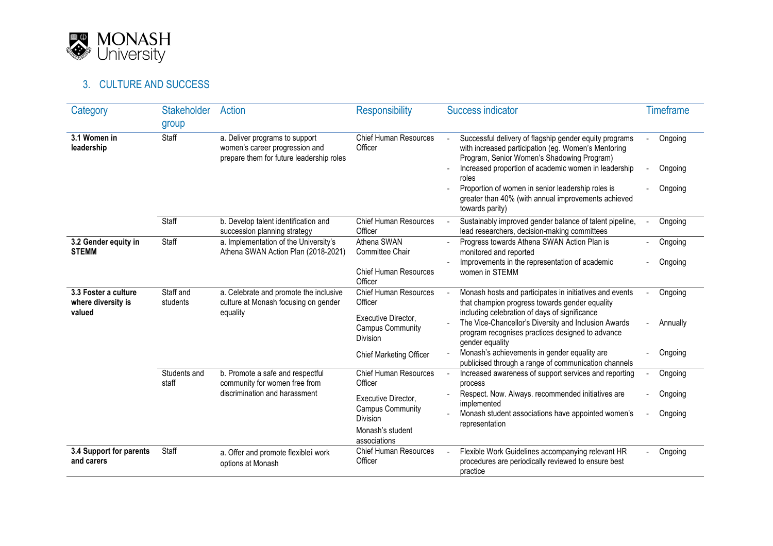<span id="page-3-0"></span>

## 3. CULTURE AND SUCCESS

| Category                                             | <b>Stakeholder</b><br>group | <b>Action</b>                                                                                                | <b>Responsibility</b>                                                                                                                   | <b>Success indicator</b>                                                                                                                                                                                                                                                                                                                                                                          | <b>Timeframe</b>               |
|------------------------------------------------------|-----------------------------|--------------------------------------------------------------------------------------------------------------|-----------------------------------------------------------------------------------------------------------------------------------------|---------------------------------------------------------------------------------------------------------------------------------------------------------------------------------------------------------------------------------------------------------------------------------------------------------------------------------------------------------------------------------------------------|--------------------------------|
| 3.1 Women in<br>leadership                           | Staff                       | a. Deliver programs to support<br>women's career progression and<br>prepare them for future leadership roles | <b>Chief Human Resources</b><br>Officer                                                                                                 | Successful delivery of flagship gender equity programs<br>with increased participation (eg. Women's Mentoring<br>Program, Senior Women's Shadowing Program)<br>Increased proportion of academic women in leadership<br>roles<br>Proportion of women in senior leadership roles is<br>greater than 40% (with annual improvements achieved<br>towards parity)                                       | Ongoing<br>Ongoing<br>Ongoing  |
|                                                      | Staff                       | b. Develop talent identification and<br>succession planning strategy                                         | <b>Chief Human Resources</b><br>Officer                                                                                                 | Sustainably improved gender balance of talent pipeline,<br>lead researchers, decision-making committees                                                                                                                                                                                                                                                                                           | Ongoing                        |
| 3.2 Gender equity in<br><b>STEMM</b>                 | Staff                       | a. Implementation of the University's<br>Athena SWAN Action Plan (2018-2021)                                 | Athena SWAN<br>Committee Chair<br><b>Chief Human Resources</b><br>Officer                                                               | Progress towards Athena SWAN Action Plan is<br>monitored and reported<br>Improvements in the representation of academic<br>women in STEMM                                                                                                                                                                                                                                                         | Ongoing<br>Ongoing             |
| 3.3 Foster a culture<br>where diversity is<br>valued | Staff and<br>students       | a. Celebrate and promote the inclusive<br>culture at Monash focusing on gender<br>equality                   | <b>Chief Human Resources</b><br>Officer<br>Executive Director,<br><b>Campus Community</b><br>Division<br><b>Chief Marketing Officer</b> | Monash hosts and participates in initiatives and events<br>that champion progress towards gender equality<br>including celebration of days of significance<br>The Vice-Chancellor's Diversity and Inclusion Awards<br>program recognises practices designed to advance<br>gender equality<br>Monash's achievements in gender equality are<br>publicised through a range of communication channels | Ongoing<br>Annually<br>Ongoing |
|                                                      | Students and<br>staff       | b. Promote a safe and respectful<br>community for women free from<br>discrimination and harassment           | <b>Chief Human Resources</b><br>Officer<br>Executive Director,                                                                          | Increased awareness of support services and reporting<br>process<br>Respect. Now. Always. recommended initiatives are                                                                                                                                                                                                                                                                             | Ongoing<br>Ongoing             |
|                                                      |                             | <b>Campus Community</b><br>Division<br>Monash's student<br>associations                                      | implemented<br>Monash student associations have appointed women's<br>representation                                                     | Ongoing                                                                                                                                                                                                                                                                                                                                                                                           |                                |
| 3.4 Support for parents<br>and carers                | Staff                       | a. Offer and promote flexiblei work<br>options at Monash                                                     | <b>Chief Human Resources</b><br>Officer                                                                                                 | Flexible Work Guidelines accompanying relevant HR<br>procedures are periodically reviewed to ensure best<br>practice                                                                                                                                                                                                                                                                              | Ongoing                        |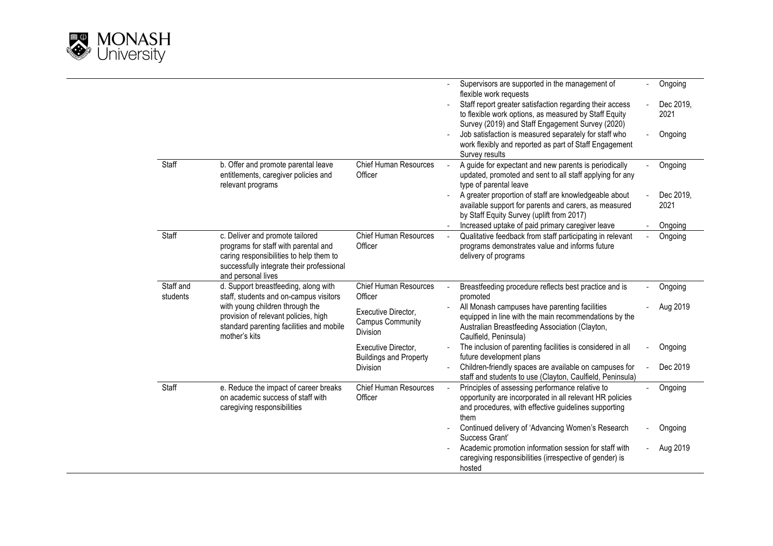

|                       |                                                                                                                                                                 |                                                                   | Supervisors are supported in the management of<br>$\blacksquare$<br>flexible work requests<br>Staff report greater satisfaction regarding their access                                      | Ongoing<br>Dec 2019, |
|-----------------------|-----------------------------------------------------------------------------------------------------------------------------------------------------------------|-------------------------------------------------------------------|---------------------------------------------------------------------------------------------------------------------------------------------------------------------------------------------|----------------------|
|                       |                                                                                                                                                                 |                                                                   | to flexible work options, as measured by Staff Equity<br>Survey (2019) and Staff Engagement Survey (2020)                                                                                   | 2021                 |
|                       |                                                                                                                                                                 |                                                                   | Job satisfaction is measured separately for staff who<br>work flexibly and reported as part of Staff Engagement<br>Survey results                                                           | Ongoing              |
| Staff                 | b. Offer and promote parental leave<br>entitlements, caregiver policies and<br>relevant programs                                                                | <b>Chief Human Resources</b><br>Officer                           | A guide for expectant and new parents is periodically<br>updated, promoted and sent to all staff applying for any<br>type of parental leave                                                 | Ongoing              |
|                       |                                                                                                                                                                 |                                                                   | A greater proportion of staff are knowledgeable about<br>available support for parents and carers, as measured<br>by Staff Equity Survey (uplift from 2017)                                 | Dec 2019,<br>2021    |
|                       |                                                                                                                                                                 |                                                                   | Increased uptake of paid primary caregiver leave                                                                                                                                            | Ongoing              |
| Staff                 | c. Deliver and promote tailored<br>programs for staff with parental and<br>caring responsibilities to help them to<br>successfully integrate their professional | <b>Chief Human Resources</b><br>Officer                           | Qualitative feedback from staff participating in relevant<br>$\Box$<br>programs demonstrates value and informs future<br>delivery of programs                                               | Ongoing              |
|                       | and personal lives                                                                                                                                              |                                                                   |                                                                                                                                                                                             |                      |
| Staff and<br>students | d. Support breastfeeding, along with<br>staff, students and on-campus visitors                                                                                  | <b>Chief Human Resources</b><br>Officer                           | Breastfeeding procedure reflects best practice and is<br>promoted                                                                                                                           | Ongoing              |
|                       | with young children through the<br>provision of relevant policies, high<br>standard parenting facilities and mobile<br>mother's kits                            | Executive Director,<br><b>Campus Community</b><br><b>Division</b> | All Monash campuses have parenting facilities<br>equipped in line with the main recommendations by the<br>Australian Breastfeeding Association (Clayton,<br>Caulfield, Peninsula)           | Aug 2019             |
|                       |                                                                                                                                                                 | Executive Director,<br><b>Buildings and Property</b>              | The inclusion of parenting facilities is considered in all<br>future development plans                                                                                                      | Ongoing              |
|                       |                                                                                                                                                                 | Division                                                          | Children-friendly spaces are available on campuses for<br>staff and students to use (Clayton, Caulfield, Peninsula)                                                                         | Dec 2019             |
| Staff                 | e. Reduce the impact of career breaks<br>on academic success of staff with<br>caregiving responsibilities                                                       | <b>Chief Human Resources</b><br>Officer                           | Principles of assessing performance relative to<br>$\mathbf{r}$<br>opportunity are incorporated in all relevant HR policies<br>and procedures, with effective guidelines supporting<br>them | Ongoing              |
|                       |                                                                                                                                                                 |                                                                   | Continued delivery of 'Advancing Women's Research<br>Success Grant'                                                                                                                         | Ongoing              |
|                       |                                                                                                                                                                 |                                                                   | Academic promotion information session for staff with<br>caregiving responsibilities (irrespective of gender) is<br>hosted                                                                  | Aug 2019             |